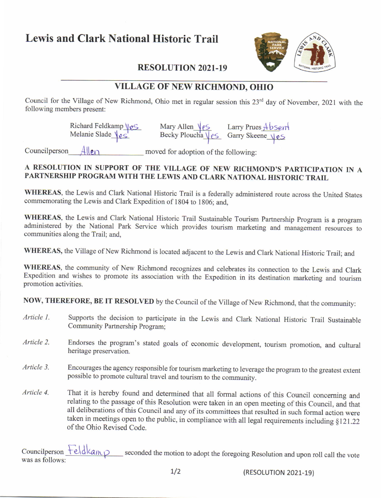## Lewis and Clark National Historic Trail



## VILLAGE OF NEW RICHMOND. OHIO

Council for the Village of New Richmond, Ohio met in regular session this 23<sup>rd</sup> day of November, 2021 with the following members present:

> Richard Feldkamp VeS Melanie Slade \es'

Mary Allen <u>\estarry</u> Prues Absert<br>Becky Ploucha \estarry Skeene \estarry Skeene

Councilperson $\frac{A\parallel e_1}{A\parallel e_2}$  moved for adoption of the following:

## A RESOLUTION IN SUPPORT OF THE \'ILLAGE OF NEW RICHMOND'S PARTICIPATION IN <sup>A</sup> PARTNERSHIP PROGRAM WITH THE LEWIS AND CLARK NATIONAL HISTORIC TRAIL

WHEREAS, the Lewis and Clark National Historic Trail is a federally administered route across the United States commemorating the Lewis and Clark Expedition of 1804 to 1806; and.

WHEREAS, the Lewis and Clark National Historic Trail Sustainable Tourism Partnership Program is a program administered by the National Park Service which provides tourism marketing and management resources to communities along the Trail; and,

WHEREAS, the Village of New Richmond is located adjacent to the Lewis and Clark National Historic Trail; and

WHEREAS, the community of New Richmond recognizes and celebrates its connection to the Lewis and Clark Expedition and wishes to promote its association with the Expedition in its destination marketing and tourism promotion activities.

NOW, THEREFORE, BE IT RESOLVED by the Council of the Village of New Richmond, that the community:

- Supports the decision to participate in the Lewis and Clark National Historic Trail Sustainable Community Partnership Program; Article l.
- Endorses the program's stated goals of economic development, tourism promotion, and cultural heritage preservation. Article 2.
- Encourages the agency responsible for tourism marketing to leverage the program to the greatest extent possible to promote cultural travel and tourism to the community Article 3.
- That it is hereby found and determined that all formal actions of this Council concerning and relating to the passage of this Resolution were taken in an open meeting of this Council, and that all deliberations of this Council and any of its committees that resulted in such formal action were taken in meetings open to the public, in compliance with all legal requirements including  $§121.22$ of the Ohio Revised Code. Article 4.

Councilperson  $\frac{\text{Field}}{\text{A}}$  seconded the motion to adopt the foregoing Resolution and upon roll call the vote was as follows: